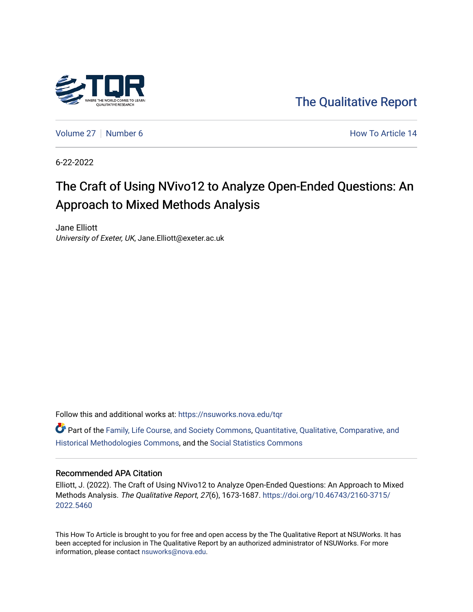

[The Qualitative Report](https://nsuworks.nova.edu/tqr) 

[Volume 27](https://nsuworks.nova.edu/tqr/vol27) | [Number 6](https://nsuworks.nova.edu/tqr/vol27/iss6) **How To Article 14** 

6-22-2022

# The Craft of Using NVivo12 to Analyze Open-Ended Questions: An Approach to Mixed Methods Analysis

Jane Elliott University of Exeter, UK, Jane.Elliott@exeter.ac.uk

Follow this and additional works at: [https://nsuworks.nova.edu/tqr](https://nsuworks.nova.edu/tqr?utm_source=nsuworks.nova.edu%2Ftqr%2Fvol27%2Fiss6%2F14&utm_medium=PDF&utm_campaign=PDFCoverPages) 

Part of the [Family, Life Course, and Society Commons,](https://network.bepress.com/hgg/discipline/419?utm_source=nsuworks.nova.edu%2Ftqr%2Fvol27%2Fiss6%2F14&utm_medium=PDF&utm_campaign=PDFCoverPages) [Quantitative, Qualitative, Comparative, and](https://network.bepress.com/hgg/discipline/423?utm_source=nsuworks.nova.edu%2Ftqr%2Fvol27%2Fiss6%2F14&utm_medium=PDF&utm_campaign=PDFCoverPages)  [Historical Methodologies Commons](https://network.bepress.com/hgg/discipline/423?utm_source=nsuworks.nova.edu%2Ftqr%2Fvol27%2Fiss6%2F14&utm_medium=PDF&utm_campaign=PDFCoverPages), and the [Social Statistics Commons](https://network.bepress.com/hgg/discipline/1275?utm_source=nsuworks.nova.edu%2Ftqr%2Fvol27%2Fiss6%2F14&utm_medium=PDF&utm_campaign=PDFCoverPages) 

#### Recommended APA Citation

Elliott, J. (2022). The Craft of Using NVivo12 to Analyze Open-Ended Questions: An Approach to Mixed Methods Analysis. The Qualitative Report, 27(6), 1673-1687. [https://doi.org/10.46743/2160-3715/](https://doi.org/10.46743/2160-3715/2022.5460) [2022.5460](https://doi.org/10.46743/2160-3715/2022.5460) 

This How To Article is brought to you for free and open access by the The Qualitative Report at NSUWorks. It has been accepted for inclusion in The Qualitative Report by an authorized administrator of NSUWorks. For more information, please contact [nsuworks@nova.edu.](mailto:nsuworks@nova.edu)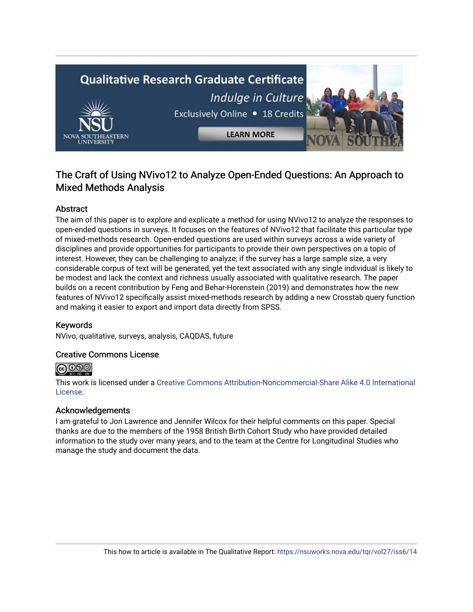# **Qualitative Research Graduate Certificate** Indulge in Culture Exclusively Online . 18 Credits **LEARN MORE**

# The Craft of Using NVivo12 to Analyze Open-Ended Questions: An Approach to Mixed Methods Analysis

# Abstract

The aim of this paper is to explore and explicate a method for using NVivo12 to analyze the responses to open-ended questions in surveys. It focuses on the features of NVivo12 that facilitate this particular type of mixed-methods research. Open-ended questions are used within surveys across a wide variety of disciplines and provide opportunities for participants to provide their own perspectives on a topic of interest. However, they can be challenging to analyze; if the survey has a large sample size, a very considerable corpus of text will be generated, yet the text associated with any single individual is likely to be modest and lack the context and richness usually associated with qualitative research. The paper builds on a recent contribution by Feng and Behar-Horenstein (2019) and demonstrates how the new features of NVivo12 specifically assist mixed-methods research by adding a new Crosstab query function and making it easier to export and import data directly from SPSS.

# Keywords

NVivo, qualitative, surveys, analysis, CAQDAS, future

#### Creative Commons License



This work is licensed under a [Creative Commons Attribution-Noncommercial-Share Alike 4.0 International](https://creativecommons.org/licenses/by-nc-sa/4.0/)  [License](https://creativecommons.org/licenses/by-nc-sa/4.0/).

#### Acknowledgements

I am grateful to Jon Lawrence and Jennifer Wilcox for their helpful comments on this paper. Special thanks are due to the members of the 1958 British Birth Cohort Study who have provided detailed information to the study over many years, and to the team at the Centre for Longitudinal Studies who manage the study and document the data.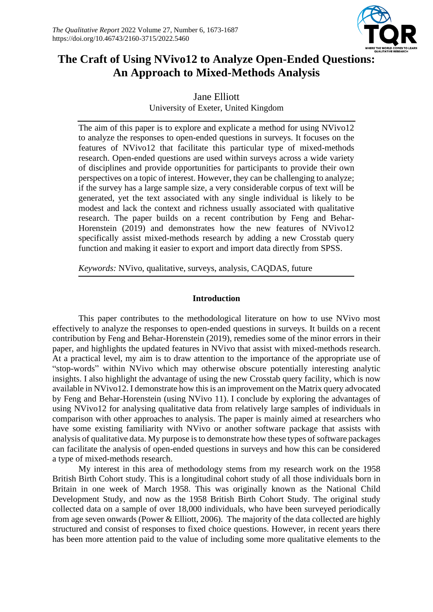

# **The Craft of Using NVivo12 to Analyze Open-Ended Questions: An Approach to Mixed-Methods Analysis**

Jane Elliott University of Exeter, United Kingdom

The aim of this paper is to explore and explicate a method for using NVivo12 to analyze the responses to open-ended questions in surveys. It focuses on the features of NVivo12 that facilitate this particular type of mixed-methods research. Open-ended questions are used within surveys across a wide variety of disciplines and provide opportunities for participants to provide their own perspectives on a topic of interest. However, they can be challenging to analyze; if the survey has a large sample size, a very considerable corpus of text will be generated, yet the text associated with any single individual is likely to be modest and lack the context and richness usually associated with qualitative research. The paper builds on a recent contribution by Feng and Behar-Horenstein (2019) and demonstrates how the new features of NVivo12 specifically assist mixed-methods research by adding a new Crosstab query function and making it easier to export and import data directly from SPSS.

*Keywords:* NVivo, qualitative, surveys, analysis, CAQDAS, future

# **Introduction**

This paper contributes to the methodological literature on how to use NVivo most effectively to analyze the responses to open-ended questions in surveys. It builds on a recent contribution by Feng and Behar-Horenstein (2019), remedies some of the minor errors in their paper, and highlights the updated features in NVivo that assist with mixed-methods research. At a practical level, my aim is to draw attention to the importance of the appropriate use of "stop-words" within NVivo which may otherwise obscure potentially interesting analytic insights. I also highlight the advantage of using the new Crosstab query facility, which is now available in NVivo12. I demonstrate how this is an improvement on the Matrix query advocated by Feng and Behar-Horenstein (using NVivo 11). I conclude by exploring the advantages of using NVivo12 for analysing qualitative data from relatively large samples of individuals in comparison with other approaches to analysis. The paper is mainly aimed at researchers who have some existing familiarity with NVivo or another software package that assists with analysis of qualitative data. My purpose is to demonstrate how these types of software packages can facilitate the analysis of open-ended questions in surveys and how this can be considered a type of mixed-methods research.

My interest in this area of methodology stems from my research work on the 1958 British Birth Cohort study. This is a longitudinal cohort study of all those individuals born in Britain in one week of March 1958. This was originally known as the National Child Development Study, and now as the 1958 British Birth Cohort Study. The original study collected data on a sample of over 18,000 individuals, who have been surveyed periodically from age seven onwards (Power & Elliott, 2006). The majority of the data collected are highly structured and consist of responses to fixed choice questions. However, in recent years there has been more attention paid to the value of including some more qualitative elements to the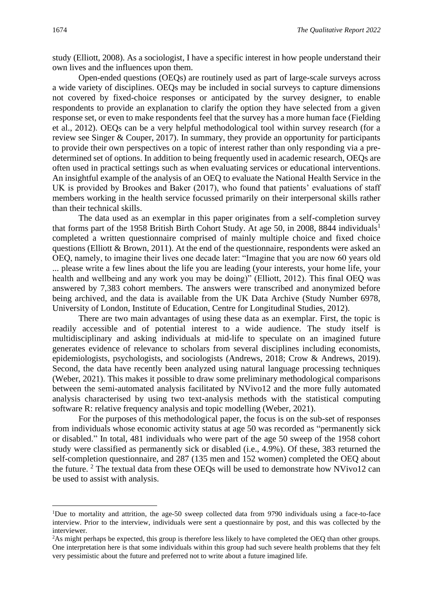study (Elliott, 2008). As a sociologist, I have a specific interest in how people understand their own lives and the influences upon them.

Open-ended questions (OEQs) are routinely used as part of large-scale surveys across a wide variety of disciplines. OEQs may be included in social surveys to capture dimensions not covered by fixed-choice responses or anticipated by the survey designer, to enable respondents to provide an explanation to clarify the option they have selected from a given response set, or even to make respondents feel that the survey has a more human face (Fielding et al., 2012). OEQs can be a very helpful methodological tool within survey research (for a review see Singer & Couper, 2017). In summary, they provide an opportunity for participants to provide their own perspectives on a topic of interest rather than only responding via a predetermined set of options. In addition to being frequently used in academic research, OEQs are often used in practical settings such as when evaluating services or educational interventions. An insightful example of the analysis of an OEQ to evaluate the National Health Service in the UK is provided by Brookes and Baker (2017), who found that patients' evaluations of staff members working in the health service focussed primarily on their interpersonal skills rather than their technical skills.

The data used as an exemplar in this paper originates from a self-completion survey that forms part of the 1958 British Birth Cohort Study. At age 50, in 2008, 8844 individuals<sup>1</sup> completed a written questionnaire comprised of mainly multiple choice and fixed choice questions (Elliott & Brown, 2011). At the end of the questionnaire, respondents were asked an OEQ, namely, to imagine their lives one decade later: "Imagine that you are now 60 years old ... please write a few lines about the life you are leading (your interests, your home life, your health and wellbeing and any work you may be doing)" (Elliott, 2012). This final OEQ was answered by 7,383 cohort members. The answers were transcribed and anonymized before being archived, and the data is available from the UK Data Archive (Study Number 6978, University of London, Institute of Education, Centre for Longitudinal Studies, 2012).

There are two main advantages of using these data as an exemplar. First, the topic is readily accessible and of potential interest to a wide audience. The study itself is multidisciplinary and asking individuals at mid-life to speculate on an imagined future generates evidence of relevance to scholars from several disciplines including economists, epidemiologists, psychologists, and sociologists (Andrews, 2018; Crow & Andrews, 2019). Second, the data have recently been analyzed using natural language processing techniques (Weber, 2021). This makes it possible to draw some preliminary methodological comparisons between the semi-automated analysis facilitated by NVivo12 and the more fully automated analysis characterised by using two text-analysis methods with the statistical computing software R: relative frequency analysis and topic modelling (Weber, 2021).

For the purposes of this methodological paper, the focus is on the sub-set of responses from individuals whose economic activity status at age 50 was recorded as "permanently sick or disabled." In total, 481 individuals who were part of the age 50 sweep of the 1958 cohort study were classified as permanently sick or disabled (i.e., 4.9%). Of these, 383 returned the self-completion questionnaire, and 287 (135 men and 152 women) completed the OEQ about the future. <sup>2</sup> The textual data from these OEQs will be used to demonstrate how NVivo12 can be used to assist with analysis.

<sup>1</sup>Due to mortality and attrition, the age-50 sweep collected data from 9790 individuals using a face-to-face interview. Prior to the interview, individuals were sent a questionnaire by post, and this was collected by the interviewer.

<sup>&</sup>lt;sup>2</sup>As might perhaps be expected, this group is therefore less likely to have completed the OEO than other groups. One interpretation here is that some individuals within this group had such severe health problems that they felt very pessimistic about the future and preferred not to write about a future imagined life.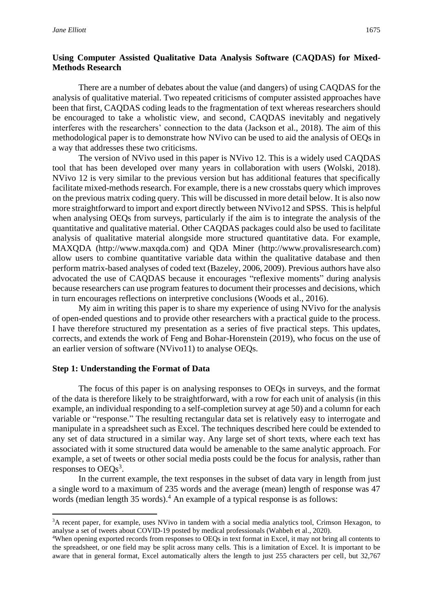#### **Using Computer Assisted Qualitative Data Analysis Software (CAQDAS) for Mixed-Methods Research**

There are a number of debates about the value (and dangers) of using CAQDAS for the analysis of qualitative material. Two repeated criticisms of computer assisted approaches have been that first, CAQDAS coding leads to the fragmentation of text whereas researchers should be encouraged to take a wholistic view, and second, CAQDAS inevitably and negatively interferes with the researchers' connection to the data (Jackson et al., 2018). The aim of this methodological paper is to demonstrate how NVivo can be used to aid the analysis of OEQs in a way that addresses these two criticisms.

The version of NVivo used in this paper is NVivo 12. This is a widely used CAQDAS tool that has been developed over many years in collaboration with users (Wolski, 2018). NVivo 12 is very similar to the previous version but has additional features that specifically facilitate mixed-methods research. For example, there is a new crosstabs query which improves on the previous matrix coding query. This will be discussed in more detail below. It is also now more straightforward to import and export directly between NVivo12 and SPSS. This is helpful when analysing OEQs from surveys, particularly if the aim is to integrate the analysis of the quantitative and qualitative material. Other CAQDAS packages could also be used to facilitate analysis of qualitative material alongside more structured quantitative data. For example, MAXQDA (http://www.maxqda.com) and QDA Miner (http://www.provalisresearch.com) allow users to combine quantitative variable data within the qualitative database and then perform matrix-based analyses of coded text (Bazeley, 2006, 2009). Previous authors have also advocated the use of CAQDAS because it encourages "reflexive moments" during analysis because researchers can use program features to document their processes and decisions, which in turn encourages reflections on interpretive conclusions (Woods et al., 2016).

My aim in writing this paper is to share my experience of using NVivo for the analysis of open-ended questions and to provide other researchers with a practical guide to the process. I have therefore structured my presentation as a series of five practical steps. This updates, corrects, and extends the work of Feng and Bohar-Horenstein (2019), who focus on the use of an earlier version of software (NVivo11) to analyse OEQs.

#### **Step 1: Understanding the Format of Data**

The focus of this paper is on analysing responses to OEQs in surveys, and the format of the data is therefore likely to be straightforward, with a row for each unit of analysis (in this example, an individual responding to a self-completion survey at age 50) and a column for each variable or "response." The resulting rectangular data set is relatively easy to interrogate and manipulate in a spreadsheet such as Excel. The techniques described here could be extended to any set of data structured in a similar way. Any large set of short texts, where each text has associated with it some structured data would be amenable to the same analytic approach. For example, a set of tweets or other social media posts could be the focus for analysis, rather than responses to  $OEQs^3$ .

In the current example, the text responses in the subset of data vary in length from just a single word to a maximum of 235 words and the average (mean) length of response was 47 words (median length 35 words).<sup>4</sup> An example of a typical response is as follows:

<sup>&</sup>lt;sup>3</sup>A recent paper, for example, uses NVivo in tandem with a social media analytics tool, Crimson Hexagon, to analyse a set of tweets about COVID-19 posted by medical professionals (Wahbeh et al., 2020).

<sup>4</sup>When opening exported records from responses to OEQs in text format in Excel, it may not bring all contents to the spreadsheet, or one field may be split across many cells. This is a limitation of Excel. It is important to be aware that in general format, Excel automatically alters the length to just 255 characters per cell, but 32,767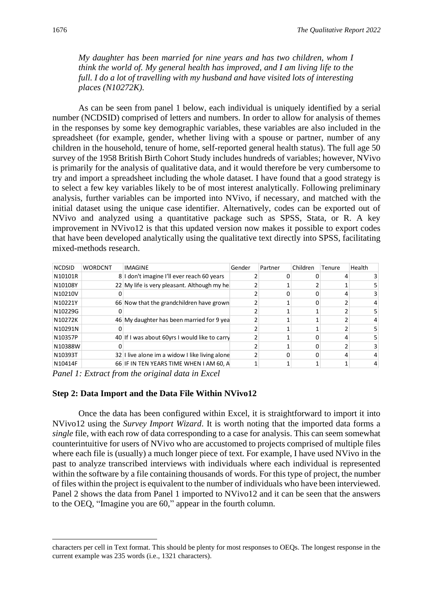*My daughter has been married for nine years and has two children, whom I think the world of. My general health has improved, and I am living life to the full. I do a lot of travelling with my husband and have visited lots of interesting places (N10272K).*

As can be seen from panel 1 below, each individual is uniquely identified by a serial number (NCDSID) comprised of letters and numbers. In order to allow for analysis of themes in the responses by some key demographic variables, these variables are also included in the spreadsheet (for example, gender, whether living with a spouse or partner, number of any children in the household, tenure of home, self-reported general health status). The full age 50 survey of the 1958 British Birth Cohort Study includes hundreds of variables; however, NVivo is primarily for the analysis of qualitative data, and it would therefore be very cumbersome to try and import a spreadsheet including the whole dataset. I have found that a good strategy is to select a few key variables likely to be of most interest analytically. Following preliminary analysis, further variables can be imported into NVivo, if necessary, and matched with the initial dataset using the unique case identifier. Alternatively, codes can be exported out of NVivo and analyzed using a quantitative package such as SPSS, Stata, or R. A key improvement in NVivo12 is that this updated version now makes it possible to export codes that have been developed analytically using the qualitative text directly into SPSS, facilitating mixed-methods research.

| NCDSID WORDCNT | IMAGINE                                        | Gender | Partner | Children Tenure Health |  |
|----------------|------------------------------------------------|--------|---------|------------------------|--|
| N10101R        | 8 I don't imagine I'll ever reach 60 years     |        |         |                        |  |
| N10108Y        | 22 My life is very pleasant. Although my he    |        |         |                        |  |
| N10210V        |                                                |        |         |                        |  |
| N10221Y        | 66 Now that the grandchildren have grown       |        |         |                        |  |
| N10229G        |                                                |        |         |                        |  |
| N10272K        | 46 My daughter has been married for 9 yea      |        |         |                        |  |
| N10291N        |                                                |        |         |                        |  |
| N10357P        | 40 If I was about 60yrs I would like to carry  |        |         |                        |  |
| N10388W        |                                                |        |         |                        |  |
| N10393T        | 32 I live alone im a widow I like living alone |        |         |                        |  |
| N10414F        | 66 IF IN TEN YEARS TIME WHEN I AM 60, A        |        |         |                        |  |
| ______         | .                                              |        |         |                        |  |

*Panel 1: Extract from the original data in Excel*

#### **Step 2: Data Import and the Data File Within NVivo12**

Once the data has been configured within Excel, it is straightforward to import it into NVivo12 using the *Survey Import Wizard*. It is worth noting that the imported data forms a *single* file, with each row of data corresponding to a case for analysis. This can seem somewhat counterintuitive for users of NVivo who are accustomed to projects comprised of multiple files where each file is (usually) a much longer piece of text. For example, I have used NVivo in the past to analyze transcribed interviews with individuals where each individual is represented within the software by a file containing thousands of words. For this type of project, the number of files within the project is equivalent to the number of individuals who have been interviewed. Panel 2 shows the data from Panel 1 imported to NVivo12 and it can be seen that the answers to the OEQ, "Imagine you are 60," appear in the fourth column.

characters per cell in Text format. This should be plenty for most responses to OEQs. The longest response in the current example was 235 words (i.e., 1321 characters).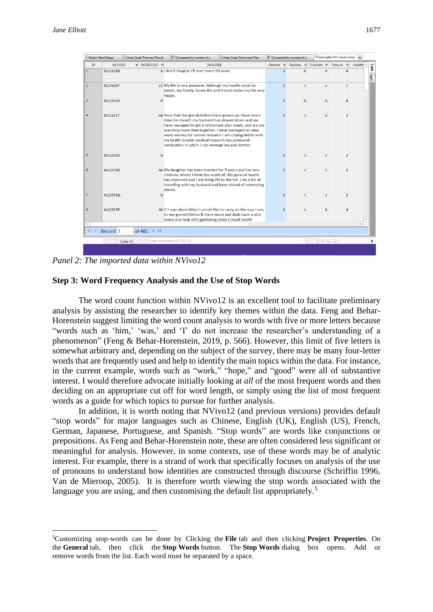| Quick Start Steps |                     |         | Auto Code Themes Result                  | Compared by number of c                                                                                                                                                                                                                                                                                                                                                                         | Auto Code Sentiment Res |                | Compared by number of s |                | E exemplar 481 cases Imagi x           |                    |       |
|-------------------|---------------------|---------|------------------------------------------|-------------------------------------------------------------------------------------------------------------------------------------------------------------------------------------------------------------------------------------------------------------------------------------------------------------------------------------------------------------------------------------------------|-------------------------|----------------|-------------------------|----------------|----------------------------------------|--------------------|-------|
| ID                | <b>NCDSID</b>       |         | V WORDCNT V                              | <b>IMAGINE</b>                                                                                                                                                                                                                                                                                                                                                                                  |                         |                |                         |                | Gender v Partner v Children v Tenure v | Health $\triangle$ | Table |
| $\mathbf{1}$      | N10101R             |         |                                          | 8 I don't imagine I'll ever reach 60 years                                                                                                                                                                                                                                                                                                                                                      |                         | $\overline{2}$ | $\Omega$                | $\Omega$       | 4                                      |                    | Farm  |
| $\overline{2}$    | N10108Y             |         |                                          | 22 My life is very pleasant. Although my health could be<br>better, my family, home life and friends make my life very<br>happy.                                                                                                                                                                                                                                                                |                         | $\overline{2}$ | $\mathbf{1}$            | $\overline{2}$ | $\mathbf{1}$                           |                    |       |
| 3                 | N10210V             |         | $\overline{0}$                           |                                                                                                                                                                                                                                                                                                                                                                                                 |                         | $\overline{2}$ | $\mathbf{O}$            | $\Omega$       | 4                                      |                    |       |
| 4                 | N10221Y             |         |                                          | 66 Now that the grandchildren have grown up I have more<br>time for myself, my husband has slowed down and we<br>have managed to get a retirement plan ready, and we are<br>spending more time together. I have managed to raise<br>more money for cancer research I am coping better with<br>my health maybe medical research has produced<br>medication in which I can manage my pain better. |                         | $\overline{2}$ | $\mathbf{1}$            | $\Omega$       | $\overline{2}$                         |                    |       |
| 5                 | N10229G             |         | $\mathbf{O}$                             |                                                                                                                                                                                                                                                                                                                                                                                                 |                         | $\overline{2}$ | $\mathbf{1}$            | 1              | $\overline{2}$                         |                    |       |
| 6                 | N10272K             |         |                                          | 46 My daughter has been married for 9 years and has two<br>children, whom I think the world of. My general health<br>has improved and I am living life to the full. I do a lot of<br>travelling with my husband and have visited of interesting<br>places.                                                                                                                                      |                         | $\overline{2}$ | $\mathbf{1}$            | 1              | $\overline{2}$                         |                    |       |
| 7                 | N10291N             |         | $\mathbf 0$                              |                                                                                                                                                                                                                                                                                                                                                                                                 |                         | $\overline{2}$ | $\mathbf{1}$            | $\mathbf{1}$   | $\overline{2}$                         |                    |       |
| 8                 | N10357P             |         |                                          | 40 If I was about 60yrs I would like to carry on the way I am,<br>to see grandchildren & there mom and dads have a nice<br>home and help with gardening when I could health                                                                                                                                                                                                                     |                         | $\overline{2}$ | $\mathbf{1}$            | $\Omega$       | 4                                      |                    |       |
| 4                 |                     |         |                                          |                                                                                                                                                                                                                                                                                                                                                                                                 |                         |                |                         |                |                                        |                    |       |
| $\mathbb{N}$      | Record <sub>1</sub> |         | of 481 $\triangleright$ $\triangleright$ |                                                                                                                                                                                                                                                                                                                                                                                                 |                         |                |                         |                |                                        |                    |       |
|                   |                     | Code At |                                          | Enter node name (CTRL+Q)                                                                                                                                                                                                                                                                                                                                                                        |                         |                |                         |                | 每張雨                                    |                    | x     |
|                   |                     |         |                                          |                                                                                                                                                                                                                                                                                                                                                                                                 |                         |                |                         |                |                                        |                    |       |

*Panel 2: The imported data within NVivo12*

#### **Step 3: Word Frequency Analysis and the Use of Stop Words**

The word count function within NVivo12 is an excellent tool to facilitate preliminary analysis by assisting the researcher to identify key themes within the data. Feng and Behar-Horenstein suggest limiting the word count analysis to words with five or more letters because "words such as 'him,' 'was,' and 'I' do not increase the researcher's understanding of a phenomenon" (Feng & Behar-Horenstein, 2019, p. 566). However, this limit of five letters is somewhat arbitrary and, depending on the subject of the survey, there may be many four-letter words that are frequently used and help to identify the main topics within the data. For instance, in the current example, words such as "work," "hope," and "good" were all of substantive interest. I would therefore advocate initially looking at *all* of the most frequent words and then deciding on an appropriate cut off for word length, or simply using the list of most frequent words as a guide for which topics to pursue for further analysis.

In addition, it is worth noting that NVivo12 (and previous versions) provides default "stop words" for major languages such as Chinese, English (UK), English (US), French, German, Japanese, Portuguese, and Spanish. "Stop words" are words like conjunctions or prepositions. As Feng and Behar-Horenstein note, these are often considered less significant or meaningful for analysis. However, in some contexts, use of these words may be of analytic interest. For example, there is a strand of work that specifically focuses on analysis of the use of pronouns to understand how identities are constructed through discourse (Schriffin 1996, Van de Mieroop, 2005). It is therefore worth viewing the stop words associated with the language you are using, and then customising the default list appropriately.<sup>5</sup>

<sup>5</sup>Customizing stop-words can be done by Clicking the **File** tab and then clicking **Project Properties**. On the **General** tab, then click the **Stop Words** button. The **Stop Words** dialog box opens. Add or remove words from the list. Each word must be separated by a space.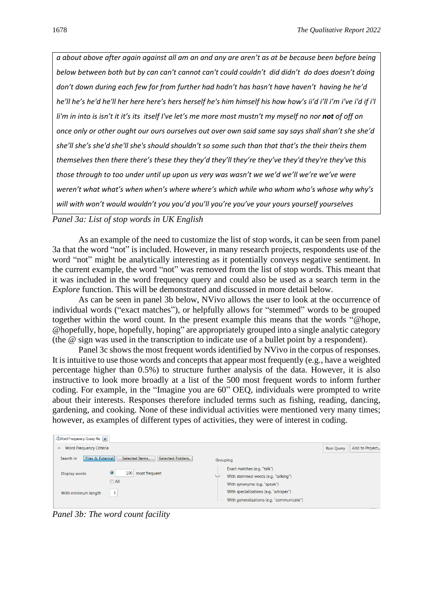*a about above after again against all am an and any are aren't as at be because been before being below between both but by can can't cannot can't could couldn't did didn't do does doesn't doing don't down during each few for from further had hadn't has hasn't have haven't having he he'd he'll he's he'd he'll her here here's hers herself he's him himself his how how's ii'd i'll i'm i've i'd if i'l li'm in into is isn't it it's its itself I've let's me more most mustn't my myself no nor not of off on once only or other ought our ours ourselves out over own said same say says shall shan't she she'd she'll she's she'd she'll she's should shouldn't so some such than that that's the their theirs them themselves then there there's these they they'd they'll they're they've they'd they're they've this those through to too under until up upon us very was wasn't we we'd we'll we're we've were weren't what what's when when's where where's which while who whom who's whose why why's will with won't would wouldn't you you'd you'll you're you've your yours yourself yourselves*

*Panel 3a: List of stop words in UK English*

As an example of the need to customize the list of stop words, it can be seen from panel 3a that the word "not" is included. However, in many research projects, respondents use of the word "not" might be analytically interesting as it potentially conveys negative sentiment. In the current example, the word "not" was removed from the list of stop words. This meant that it was included in the word frequency query and could also be used as a search term in the *Explore* function. This will be demonstrated and discussed in more detail below.

As can be seen in panel 3b below, NVivo allows the user to look at the occurrence of individual words ("exact matches"), or helpfully allows for "stemmed" words to be grouped together within the word count. In the present example this means that the words "@hope, @hopefully, hope, hopefully, hoping" are appropriately grouped into a single analytic category (the @ sign was used in the transcription to indicate use of a bullet point by a respondent).

Panel 3c shows the most frequent words identified by NVivo in the corpus of responses. It is intuitive to use those words and concepts that appear most frequently (e.g., have a weighted percentage higher than 0.5%) to structure further analysis of the data. However, it is also instructive to look more broadly at a list of the 500 most frequent words to inform further coding. For example, in the "Imagine you are 60" OEQ, individuals were prompted to write about their interests. Responses therefore included terms such as fishing, reading, dancing, gardening, and cooking. None of these individual activities were mentioned very many times; however, as examples of different types of activities, they were of interest in coding.

| <b>Word Frequency Query Re</b>                                                                      |                                                                                                                                                                                          |                                    |
|-----------------------------------------------------------------------------------------------------|------------------------------------------------------------------------------------------------------------------------------------------------------------------------------------------|------------------------------------|
| <b>Word Frequency Criteria</b><br>$\boldsymbol{\wedge}$                                             |                                                                                                                                                                                          | Add to Project<br><b>Run Query</b> |
| Files & External<br>Selected Items<br>Selected Folders.<br>Search in                                | Grouping                                                                                                                                                                                 |                                    |
| ۰<br>100<br>most frequent<br>Display words<br>$\bigcirc$ All<br>$\mathbf{1}$<br>With minimum length | Exact matches (e.g. "talk")<br>With stemmed words (e.g. "talking")<br>With synonyms (e.g. "speak")<br>With specializations (e.g. "whisper")<br>With generalizations (e.g. "communicate") |                                    |

*Panel 3b: The word count facility*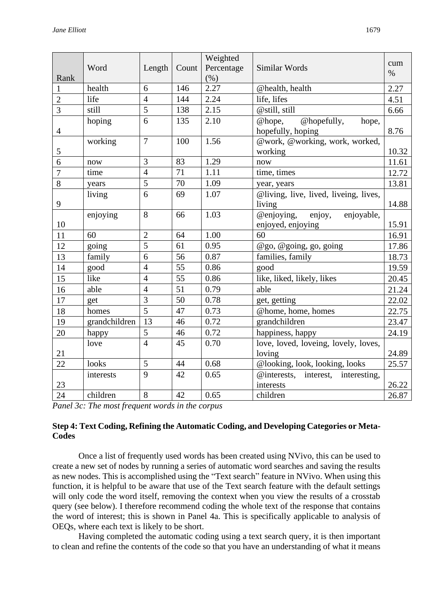|                |               |                |       | Weighted   |                                       |             |
|----------------|---------------|----------------|-------|------------|---------------------------------------|-------------|
|                | Word          | Length         | Count | Percentage | Similar Words                         | cum<br>$\%$ |
| Rank           |               |                |       | (% )       |                                       |             |
| $\mathbf{1}$   | health        | 6              | 146   | 2.27       | @health, health                       | 2.27        |
| $\overline{2}$ | life          | $\overline{4}$ | 144   | 2.24       | life, lifes                           | 4.51        |
| $\overline{3}$ | still         | 5              | 138   | 2.15       | @still, still                         | 6.66        |
|                | hoping        | 6              | 135   | 2.10       | @hopefully,<br>@hope,<br>hope,        |             |
| $\overline{4}$ |               |                |       |            | hopefully, hoping                     | 8.76        |
|                | working       | $\overline{7}$ | 100   | 1.56       | @work, @working, work, worked,        |             |
| $\mathfrak s$  |               |                |       |            | working                               | 10.32       |
| $\overline{6}$ | now           | 3              | 83    | 1.29       | now                                   | 11.61       |
| $\overline{7}$ | time          | $\overline{4}$ | 71    | 1.11       | time, times                           | 12.72       |
| 8              | years         | 5              | 70    | 1.09       | year, years                           | 13.81       |
|                | living        | 6              | 69    | 1.07       | @living, live, lived, liveing, lives, |             |
| 9              |               |                |       |            | living                                | 14.88       |
|                | enjoying      | 8              | 66    | 1.03       | @enjoying,<br>enjoyable,<br>enjoy,    |             |
| 10             |               |                |       |            | enjoyed, enjoying                     | 15.91       |
| 11             | 60            | $\overline{2}$ | 64    | 1.00       | 60                                    | 16.91       |
| 12             | going         | 5              | 61    | 0.95       | @go, @going, go, going                | 17.86       |
| 13             | family        | 6              | 56    | 0.87       | families, family                      | 18.73       |
| 14             | good          | $\overline{4}$ | 55    | 0.86       | good                                  | 19.59       |
| 15             | like          | $\overline{4}$ | 55    | 0.86       | like, liked, likely, likes            | 20.45       |
| 16             | able          | $\overline{4}$ | 51    | 0.79       | able                                  | 21.24       |
| 17             | get           | 3              | 50    | 0.78       | get, getting                          | 22.02       |
| 18             | homes         | $\overline{5}$ | 47    | 0.73       | @home, home, homes                    | 22.75       |
| 19             | grandchildren | 13             | 46    | 0.72       | grandchildren                         | 23.47       |
| 20             | happy         | 5              | 46    | 0.72       | happiness, happy                      | 24.19       |
|                | love          | $\overline{4}$ | 45    | 0.70       | love, loved, loveing, lovely, loves,  |             |
| 21             |               |                |       |            | loving                                | 24.89       |
| 22             | looks         | 5              | 44    | 0.68       | @looking, look, looking, looks        | 25.57       |
|                | interests     | 9              | 42    | 0.65       | @interests, interest,<br>interesting, |             |
| 23             |               |                |       |            | interests                             | 26.22       |
| 24             | children      | 8              | 42    | 0.65       | children                              | 26.87       |

*Panel 3c: The most frequent words in the corpus*

# **Step 4: Text Coding, Refining the Automatic Coding, and Developing Categories or Meta-Codes**

Once a list of frequently used words has been created using NVivo, this can be used to create a new set of nodes by running a series of automatic word searches and saving the results as new nodes. This is accomplished using the "Text search" feature in NVivo. When using this function, it is helpful to be aware that use of the Text search feature with the default settings will only code the word itself, removing the context when you view the results of a crosstab query (see below). I therefore recommend coding the whole text of the response that contains the word of interest; this is shown in Panel 4a. This is specifically applicable to analysis of OEQs, where each text is likely to be short.

Having completed the automatic coding using a text search query, it is then important to clean and refine the contents of the code so that you have an understanding of what it means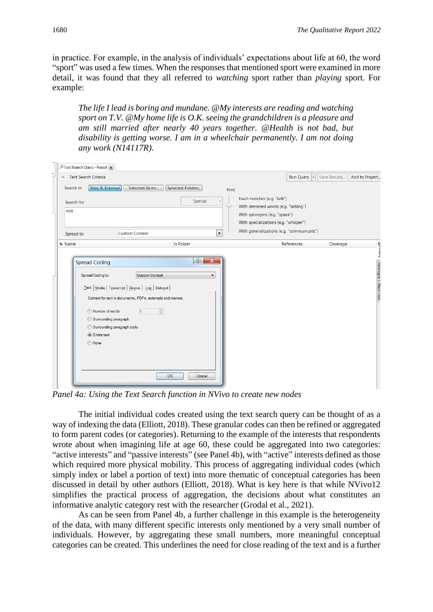in practice. For example, in the analysis of individuals' expectations about life at 60, the word "sport" was used a few times. When the responses that mentioned sport were examined in more detail, it was found that they all referred to *watching* sport rather than *playing* sport. For example:

*The life I lead is boring and mundane. @My interests are reading and watching sport on T.V. @My home life is O.K. seeing the grandchildren is a pleasure and am still married after nearly 40 years together. @Health is not bad, but disability is getting worse. I am in a wheelchair permanently. I am not doing any work (N14117R).*

|   |          |            | <b><i>A</i></b> Text Search Query - Result x              |                  |                       |                       |                                |    |                  |         |                          |        |                                                                       |            |              |                       |
|---|----------|------------|-----------------------------------------------------------|------------------|-----------------------|-----------------------|--------------------------------|----|------------------|---------|--------------------------|--------|-----------------------------------------------------------------------|------------|--------------|-----------------------|
| Í |          |            | ← Text Search Criteria                                    |                  |                       |                       |                                |    |                  |         |                          |        |                                                                       | Run Query  | Save Results | Add to Project        |
|   |          | Search in  |                                                           | Files & External |                       | Selected Items        |                                |    | Selected Folders |         |                          | Find   |                                                                       |            |              |                       |
|   |          | Search for |                                                           |                  |                       |                       |                                |    |                  | Special |                          |        | Exact matches (e.g. "talk")                                           |            |              |                       |
|   | not      |            |                                                           |                  |                       |                       |                                |    |                  |         |                          | ۰      | With stemmed words (e.g. "talking")                                   |            |              |                       |
|   |          |            |                                                           |                  |                       |                       |                                |    |                  |         |                          | $\sim$ | With synonyms (e.g. "speak")<br>With specializations (e.g. "whisper") |            |              |                       |
|   |          |            |                                                           |                  |                       |                       |                                |    |                  |         |                          |        | With generalizations (e.g. "communicate")                             |            |              |                       |
|   |          | Spread to  |                                                           |                  | <b>Custom Context</b> |                       |                                |    |                  |         | $\blacktriangledown$     |        |                                                                       |            |              |                       |
|   | $M$ Name |            |                                                           |                  |                       |                       |                                |    | / In Folder      |         |                          |        |                                                                       | References | Coverage     |                       |
|   |          |            |                                                           |                  |                       |                       |                                |    |                  |         |                          |        |                                                                       |            |              | Vierma                |
|   |          |            | <b>Spread Coding</b>                                      |                  |                       |                       |                                |    |                  | 2       | $\overline{\mathbf{x}}$  |        |                                                                       |            |              |                       |
|   |          |            | <b>Spread Coding to</b>                                   |                  |                       | <b>Custom Context</b> |                                |    |                  |         | $\overline{\phantom{a}}$ |        |                                                                       |            |              | Reference   Word Tree |
|   |          |            | Text   Media   Transcript   Region   Log   Dataset        |                  |                       |                       |                                |    |                  |         |                          |        |                                                                       |            |              |                       |
|   |          |            | Context for text in documents, PDFs, externals and memos: |                  |                       |                       |                                |    |                  |         |                          |        |                                                                       |            |              |                       |
|   |          |            |                                                           |                  |                       |                       |                                |    |                  |         |                          |        |                                                                       |            |              |                       |
|   |          |            | Number of words                                           |                  |                       | $\sqrt{5}$            | $\frac{\triangle}{\mathbf{v}}$ |    |                  |         |                          |        |                                                                       |            |              |                       |
|   |          |            | Surrounding paragraph                                     |                  |                       |                       |                                |    |                  |         |                          |        |                                                                       |            |              |                       |
|   |          |            | Surrounding paragraph style<br><b>O</b> Entire text       |                  |                       |                       |                                |    |                  |         |                          |        |                                                                       |            |              |                       |
|   |          |            | O None                                                    |                  |                       |                       |                                |    |                  |         |                          |        |                                                                       |            |              |                       |
|   |          |            |                                                           |                  |                       |                       |                                |    |                  |         |                          |        |                                                                       |            |              |                       |
|   |          |            |                                                           |                  |                       |                       |                                |    |                  |         |                          |        |                                                                       |            |              |                       |
|   |          |            |                                                           |                  |                       |                       |                                |    |                  |         |                          |        |                                                                       |            |              |                       |
|   |          |            |                                                           |                  |                       |                       |                                | OK |                  | Cancel  |                          |        |                                                                       |            |              |                       |
|   |          |            |                                                           |                  |                       |                       |                                |    |                  |         |                          |        |                                                                       |            |              |                       |

*Panel 4a: Using the Text Search function in NVivo to create new nodes*

The initial individual codes created using the text search query can be thought of as a way of indexing the data (Elliott, 2018). These granular codes can then be refined or aggregated to form parent codes (or categories). Returning to the example of the interests that respondents wrote about when imagining life at age 60, these could be aggregated into two categories: "active interests" and "passive interests" (see Panel 4b), with "active" interests defined as those which required more physical mobility. This process of aggregating individual codes (which simply index or label a portion of text) into more thematic of conceptual categories has been discussed in detail by other authors (Elliott, 2018). What is key here is that while NVivo12 simplifies the practical process of aggregation, the decisions about what constitutes an informative analytic category rest with the researcher (Grodal et al., 2021).

As can be seen from Panel 4b, a further challenge in this example is the heterogeneity of the data, with many different specific interests only mentioned by a very small number of individuals. However, by aggregating these small numbers, more meaningful conceptual categories can be created. This underlines the need for close reading of the text and is a further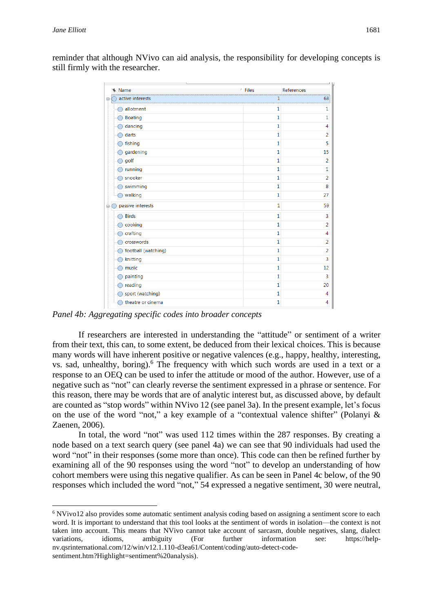reminder that although NVivo can aid analysis, the responsibility for developing concepts is still firmly with the researcher.

| Name                   | <b>Files</b><br>t. | References     |
|------------------------|--------------------|----------------|
| active interests<br>e  | 1                  | 68             |
| allotment              | 1                  | 1              |
| <b>Boating</b>         | 1                  | 1              |
| dancing                | 1                  | 4              |
| darts                  | 1                  | $\overline{2}$ |
| fishing                | 1                  | 5              |
| gardening              | $\mathbf{1}$       | 15             |
| golf                   | $\mathbf{1}$       | $\overline{2}$ |
| running                | $\mathbf{1}$       | 1              |
| snooker                | 1                  | $\overline{a}$ |
| swimming               | 1                  | 8              |
| walking                | $\mathbf{1}$       | 27             |
| passive interests<br>⊟ | 1                  | 59             |
| <b>Birds</b>           | 1                  | 3              |
| cooking                | 1                  | $\overline{a}$ |
| crafting               | 1                  | 4              |
| crosswords             | 1                  | 2              |
| football (watching)    | 1                  | $\overline{a}$ |
| knitting               | $\mathbf{1}$       | 3              |
| music                  | $\mathbf{1}$       | 12             |
| painting               | 1                  | 3              |
| reading                | 1                  | 20             |
| sport (watching)       | 1                  | 4              |
| theatre or cinema      | 1                  | 4              |

*Panel 4b: Aggregating specific codes into broader concepts*

If researchers are interested in understanding the "attitude" or sentiment of a writer from their text, this can, to some extent, be deduced from their lexical choices. This is because many words will have inherent positive or negative valences (e.g., happy, healthy, interesting, vs. sad, unhealthy, boring). <sup>6</sup> The frequency with which such words are used in a text or a response to an OEQ can be used to infer the attitude or mood of the author. However, use of a negative such as "not" can clearly reverse the sentiment expressed in a phrase or sentence. For this reason, there may be words that are of analytic interest but, as discussed above, by default are counted as "stop words" within NVivo 12 (see panel 3a). In the present example, let's focus on the use of the word "not," a key example of a "contextual valence shifter" (Polanyi & Zaenen, 2006).

In total, the word "not" was used 112 times within the 287 responses. By creating a node based on a text search query (see panel 4a) we can see that 90 individuals had used the word "not" in their responses (some more than once). This code can then be refined further by examining all of the 90 responses using the word "not" to develop an understanding of how cohort members were using this negative qualifier. As can be seen in Panel 4c below, of the 90 responses which included the word "not," 54 expressed a negative sentiment, 30 were neutral,

<sup>6</sup> NVivo12 also provides some automatic sentiment analysis coding based on assigning a sentiment score to each word. It is important to understand that this tool looks at the sentiment of words in isolation—the context is not taken into account. This means that NVivo cannot take account of sarcasm, double negatives, slang, dialect variations, idioms, ambiguity (For further information see: https://helpnv.qsrinternational.com/12/win/v12.1.110-d3ea61/Content/coding/auto-detect-codesentiment.htm?Highlight=sentiment%20analysis).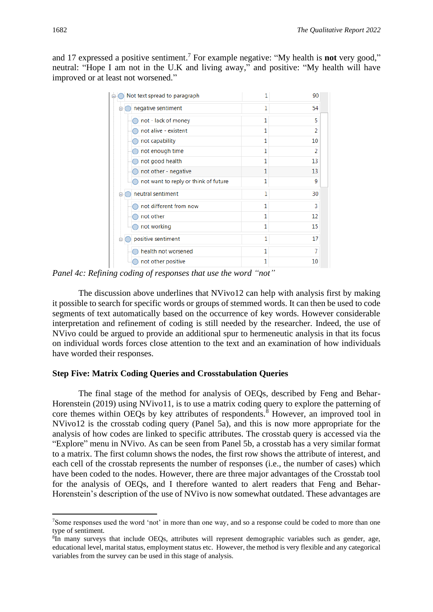and 17 expressed a positive sentiment. <sup>7</sup> For example negative: "My health is **not** very good," neutral: "Hope I am not in the U.K and living away," and positive: "My health will have improved or at least not worsened."

| Not text spread to paragraph         | 1 | 90             |
|--------------------------------------|---|----------------|
| negative sentiment                   | 1 | 54             |
| not - lack of money                  | 1 | 5              |
| not alive - existent                 | 1 | $\overline{2}$ |
| not capability                       | 1 | 10             |
| not enough time                      | 1 | 2              |
| not good health                      | 1 | 13             |
| not other - negative                 | 1 | 13             |
| not want to reply or think of future | 1 | 9              |
| neutral sentiment                    | 1 | 30             |
| not different from now               | 1 | 3              |
| not other                            | 1 | 12             |
| not working                          | 1 | 15             |
| positive sentiment                   | 1 | 17             |
| health not worsened                  | 1 |                |
| not other positive                   | 1 | 10             |

*Panel 4c: Refining coding of responses that use the word "not"*

The discussion above underlines that NVivo12 can help with analysis first by making it possible to search for specific words or groups of stemmed words. It can then be used to code segments of text automatically based on the occurrence of key words. However considerable interpretation and refinement of coding is still needed by the researcher. Indeed, the use of NVivo could be argued to provide an additional spur to hermeneutic analysis in that its focus on individual words forces close attention to the text and an examination of how individuals have worded their responses.

#### **Step Five: Matrix Coding Queries and Crosstabulation Queries**

The final stage of the method for analysis of OEQs, described by Feng and Behar-Horenstein (2019) using NVivo11, is to use a matrix coding query to explore the patterning of core themes within OEQs by key attributes of respondents.<sup>8</sup> However, an improved tool in NVivo12 is the crosstab coding query (Panel 5a), and this is now more appropriate for the analysis of how codes are linked to specific attributes. The crosstab query is accessed via the "Explore" menu in NVivo. As can be seen from Panel 5b, a crosstab has a very similar format to a matrix. The first column shows the nodes, the first row shows the attribute of interest, and each cell of the crosstab represents the number of responses (i.e., the number of cases) which have been coded to the nodes. However, there are three major advantages of the Crosstab tool for the analysis of OEQs, and I therefore wanted to alert readers that Feng and Behar-Horenstein's description of the use of NVivo is now somewhat outdated. These advantages are

<sup>7</sup>Some responses used the word 'not' in more than one way, and so a response could be coded to more than one type of sentiment.

<sup>&</sup>lt;sup>8</sup>In many surveys that include OEQs, attributes will represent demographic variables such as gender, age, educational level, marital status, employment status etc. However, the method is very flexible and any categorical variables from the survey can be used in this stage of analysis.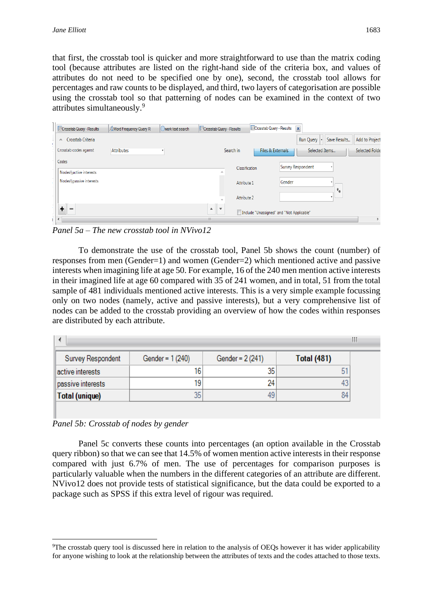that first, the crosstab tool is quicker and more straightforward to use than the matrix coding tool (because attributes are listed on the right-hand side of the criteria box, and values of attributes do not need to be specified one by one), second, the crosstab tool allows for percentages and raw counts to be displayed, and third, two layers of categorisation are possible using the crosstab tool so that patterning of nodes can be examined in the context of two attributes simultaneously.<sup>9</sup>

| Crosstab Query - Results      | <b>Word Frequency Query R</b> | work text search | Crosstab Query - Results       | Crosstab Query - Results                  | $\mathbf{x}$                     |                |
|-------------------------------|-------------------------------|------------------|--------------------------------|-------------------------------------------|----------------------------------|----------------|
| Crosstab Criteria<br>$\wedge$ |                               |                  |                                |                                           | Save Results<br><b>Run Query</b> | Add to Project |
| Crosstab codes against        | <b>Attributes</b>             |                  | Search in                      | Files & Externals                         | Selected Items                   | Selected Folde |
| Codes                         |                               |                  |                                |                                           |                                  |                |
| Nodes\\active interests       |                               |                  |                                | Classification                            | <b>Survey Respondent</b>         |                |
| Nodes\\passive interests      |                               |                  |                                | Attribute 1                               | Gender                           |                |
|                               |                               |                  |                                |                                           |                                  |                |
|                               |                               |                  | $\sim$                         | Attribute 2                               |                                  |                |
| ٠<br>$\overline{\phantom{a}}$ |                               |                  | $\boldsymbol{\mathrm{v}}$<br>▲ | Include "Unassigned" and "Not Applicable" |                                  |                |
|                               |                               |                  | Ш.                             |                                           |                                  |                |

*Panel 5a – The new crosstab tool in NVivo12*

To demonstrate the use of the crosstab tool, Panel 5b shows the count (number) of responses from men (Gender=1) and women (Gender=2) which mentioned active and passive interests when imagining life at age 50. For example, 16 of the 240 men mention active interests in their imagined life at age 60 compared with 35 of 241 women, and in total, 51 from the total sample of 481 individuals mentioned active interests. This is a very simple example focussing only on two nodes (namely, active and passive interests), but a very comprehensive list of nodes can be added to the crosstab providing an overview of how the codes within responses are distributed by each attribute.

| Survey Respondent | Gender = 1 (240) | Gender = 2 (241) | <b>Total (481)</b> |
|-------------------|------------------|------------------|--------------------|
| active interests  | 16               | 35               | 51                 |
| passive interests | 19               | 24               |                    |
| Total (unique)    | 35               | 49               | 84                 |

*Panel 5b: Crosstab of nodes by gender*

Panel 5c converts these counts into percentages (an option available in the Crosstab query ribbon) so that we can see that 14.5% of women mention active interests in their response compared with just 6.7% of men. The use of percentages for comparison purposes is particularly valuable when the numbers in the different categories of an attribute are different. NVivo12 does not provide tests of statistical significance, but the data could be exported to a package such as SPSS if this extra level of rigour was required.

<sup>9</sup>The crosstab query tool is discussed here in relation to the analysis of OEQs however it has wider applicability for anyone wishing to look at the relationship between the attributes of texts and the codes attached to those texts.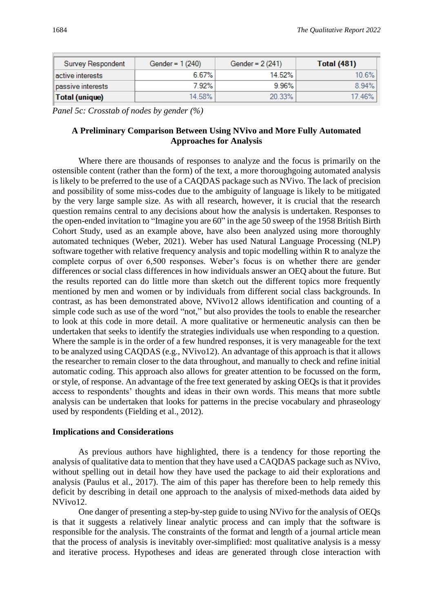| Survey Respondent | Gender = $1(240)$ | Gender = $2(241)$ | <b>Total (481)</b> |
|-------------------|-------------------|-------------------|--------------------|
| active interests  | 6.67%             | 14.52%            | $10.6\%$           |
| passive interests | 7.92%             | 9.96%             | 8.94%              |
| Total (unique)    | 14.58%            | 20.33%            | 17.46%             |

*Panel 5c: Crosstab of nodes by gender (%)*

# **A Preliminary Comparison Between Using NVivo and More Fully Automated Approaches for Analysis**

Where there are thousands of responses to analyze and the focus is primarily on the ostensible content (rather than the form) of the text, a more thoroughgoing automated analysis is likely to be preferred to the use of a CAQDAS package such as NVivo. The lack of precision and possibility of some miss-codes due to the ambiguity of language is likely to be mitigated by the very large sample size. As with all research, however, it is crucial that the research question remains central to any decisions about how the analysis is undertaken. Responses to the open-ended invitation to "Imagine you are 60" in the age 50 sweep of the 1958 British Birth Cohort Study, used as an example above, have also been analyzed using more thoroughly automated techniques (Weber, 2021). Weber has used Natural Language Processing (NLP) software together with relative frequency analysis and topic modelling within R to analyze the complete corpus of over 6,500 responses. Weber's focus is on whether there are gender differences or social class differences in how individuals answer an OEQ about the future. But the results reported can do little more than sketch out the different topics more frequently mentioned by men and women or by individuals from different social class backgrounds. In contrast, as has been demonstrated above, NVivo12 allows identification and counting of a simple code such as use of the word "not," but also provides the tools to enable the researcher to look at this code in more detail. A more qualitative or hermeneutic analysis can then be undertaken that seeks to identify the strategies individuals use when responding to a question. Where the sample is in the order of a few hundred responses, it is very manageable for the text to be analyzed using CAQDAS (e.g., NVivo12). An advantage of this approach is that it allows the researcher to remain closer to the data throughout, and manually to check and refine initial automatic coding. This approach also allows for greater attention to be focussed on the form, or style, of response. An advantage of the free text generated by asking OEQs is that it provides access to respondents' thoughts and ideas in their own words. This means that more subtle analysis can be undertaken that looks for patterns in the precise vocabulary and phraseology used by respondents (Fielding et al., 2012).

#### **Implications and Considerations**

As previous authors have highlighted, there is a tendency for those reporting the analysis of qualitative data to mention that they have used a CAQDAS package such as NVivo, without spelling out in detail how they have used the package to aid their explorations and analysis (Paulus et al., 2017). The aim of this paper has therefore been to help remedy this deficit by describing in detail one approach to the analysis of mixed-methods data aided by NVivo12.

One danger of presenting a step-by-step guide to using NVivo for the analysis of OEQs is that it suggests a relatively linear analytic process and can imply that the software is responsible for the analysis. The constraints of the format and length of a journal article mean that the process of analysis is inevitably over-simplified: most qualitative analysis is a messy and iterative process. Hypotheses and ideas are generated through close interaction with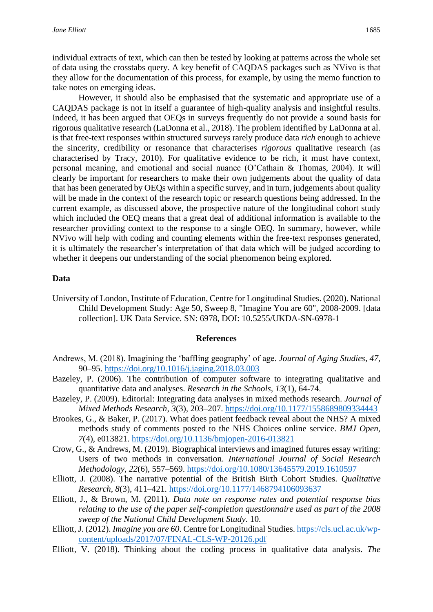individual extracts of text, which can then be tested by looking at patterns across the whole set of data using the crosstabs query. A key benefit of CAQDAS packages such as NVivo is that they allow for the documentation of this process, for example, by using the memo function to take notes on emerging ideas.

However, it should also be emphasised that the systematic and appropriate use of a CAQDAS package is not in itself a guarantee of high-quality analysis and insightful results. Indeed, it has been argued that OEQs in surveys frequently do not provide a sound basis for rigorous qualitative research (LaDonna et al., 2018). The problem identified by LaDonna at al. is that free-text responses within structured surveys rarely produce data *rich* enough to achieve the sincerity, credibility or resonance that characterises *rigorous* qualitative research (as characterised by Tracy, 2010). For qualitative evidence to be rich, it must have context, personal meaning, and emotional and social nuance (O'Cathain & Thomas, 2004). It will clearly be important for researchers to make their own judgements about the quality of data that has been generated by OEQs within a specific survey, and in turn, judgements about quality will be made in the context of the research topic or research questions being addressed. In the current example, as discussed above, the prospective nature of the longitudinal cohort study which included the OEQ means that a great deal of additional information is available to the researcher providing context to the response to a single OEQ. In summary, however, while NVivo will help with coding and counting elements within the free-text responses generated, it is ultimately the researcher's interpretation of that data which will be judged according to whether it deepens our understanding of the social phenomenon being explored.

#### **Data**

University of London, Institute of Education, Centre for Longitudinal Studies. (2020). National Child Development Study: Age 50, Sweep 8, "Imagine You are 60", 2008-2009. [data collection]. UK Data Service. SN: 6978, DOI: 10.5255/UKDA-SN-6978-1

#### **References**

- Andrews, M. (2018). Imagining the 'baffling geography' of age. *Journal of Aging Studies*, *47*, 90–95.<https://doi.org/10.1016/j.jaging.2018.03.003>
- Bazeley, P. (2006). The contribution of computer software to integrating qualitative and quantitative data and analyses. *Research in the Schools*, *13*(1), 64-74.
- Bazeley, P. (2009). Editorial: Integrating data analyses in mixed methods research. *Journal of Mixed Methods Research*, *3*(3), 203–207.<https://doi.org/10.1177/1558689809334443>
- Brookes, G., & Baker, P. (2017). What does patient feedback reveal about the NHS? A mixed methods study of comments posted to the NHS Choices online service. *BMJ Open*, *7*(4), e013821.<https://doi.org/10.1136/bmjopen-2016-013821>
- Crow, G., & Andrews, M. (2019). Biographical interviews and imagined futures essay writing: Users of two methods in conversation. *International Journal of Social Research Methodology*, *22*(6), 557–569.<https://doi.org/10.1080/13645579.2019.1610597>
- Elliott, J. (2008). The narrative potential of the British Birth Cohort Studies. *Qualitative Research*, *8*(3), 411–421.<https://doi.org/10.1177/1468794106093637>
- Elliott, J., & Brown, M. (2011). *Data note on response rates and potential response bias relating to the use of the paper self-completion questionnaire used as part of the 2008 sweep of the National Child Development Study*. 10.
- Elliott, J. (2012). *Imagine you are 60*. Centre for Longitudinal Studies. [https://cls.ucl.ac.uk/wp](https://cls.ucl.ac.uk/wp-content/uploads/2017/07/FINAL-CLS-WP-20126.pdf)[content/uploads/2017/07/FINAL-CLS-WP-20126.pdf](https://cls.ucl.ac.uk/wp-content/uploads/2017/07/FINAL-CLS-WP-20126.pdf)
- Elliott, V. (2018). Thinking about the coding process in qualitative data analysis. *The*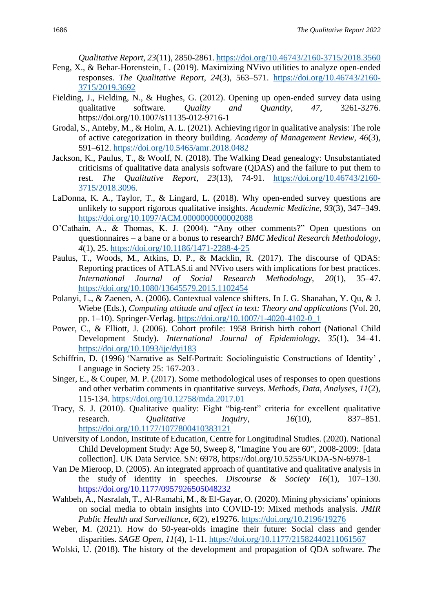*Qualitative Report, 23*(11), 2850-2861[. https://doi.org/10.46743/2160-3715/2018.3560](https://doi.org/10.46743/2160-3715/2018.3560)

- Feng, X., & Behar-Horenstein, L. (2019). Maximizing NVivo utilities to analyze open-ended responses. *The Qualitative Report*, *24*(3), 563–571. [https://doi.org/10.46743/2160-](https://doi.org/10.46743/2160-3715/2019.3692) [3715/2019.3692](https://doi.org/10.46743/2160-3715/2019.3692)
- Fielding, J., Fielding, N., & Hughes, G. (2012). Opening up open-ended survey data using qualitative software*. Quality and Quantity, 47,* 3261-3276. https://doi.org/10.1007/s11135-012-9716-1
- Grodal, S., Anteby, M., & Holm, A. L. (2021). Achieving rigor in qualitative analysis: The role of active categorization in theory building. *Academy of Management Review*, *46*(3), 591–612.<https://doi.org/10.5465/amr.2018.0482>
- Jackson, K., Paulus, T., & Woolf, N. (2018). The Walking Dead genealogy: Unsubstantiated criticisms of qualitative data analysis software (QDAS) and the failure to put them to rest. *The Qualitative Report*, *23*(13), 74-91. [https://doi.org/10.46743/2160-](https://doi.org/10.46743/2160-3715/2018.3096) [3715/2018.3096.](https://doi.org/10.46743/2160-3715/2018.3096)
- LaDonna, K. A., Taylor, T., & Lingard, L. (2018). Why open-ended survey questions are unlikely to support rigorous qualitative insights. *Academic Medicine*, *93*(3), 347–349. <https://doi.org/10.1097/ACM.0000000000002088>
- O'Cathain, A., & Thomas, K. J. (2004). "Any other comments?" Open questions on questionnaires – a bane or a bonus to research? *BMC Medical Research Methodology*, *4*(1), 25.<https://doi.org/10.1186/1471-2288-4-25>
- Paulus, T., Woods, M., Atkins, D. P., & Macklin, R. (2017). The discourse of QDAS: Reporting practices of ATLAS.ti and NVivo users with implications for best practices. *International Journal of Social Research Methodology*, *20*(1), 35–47. <https://doi.org/10.1080/13645579.2015.1102454>
- Polanyi, L., & Zaenen, A. (2006). Contextual valence shifters. In J. G. Shanahan, Y. Qu, & J. Wiebe (Eds.), *Computing attitude and affect in text: Theory and applications* (Vol. 20, pp. 1–10). Springer-Verlag. [https://doi.org/10.1007/1-4020-4102-0\\_1](https://doi.org/10.1007/1-4020-4102-0_1)
- Power, C., & Elliott, J. (2006). Cohort profile: 1958 British birth cohort (National Child Development Study). *International Journal of Epidemiology*, *35*(1), 34–41. <https://doi.org/10.1093/ije/dyi183>
- Schiffrin, D. (1996) 'Narrative as Self-Portrait: Sociolinguistic Constructions of Identity' , Language in Society 25: 167-203 .
- Singer, E., & Couper, M. P. (2017). Some methodological uses of responses to open questions and other verbatim comments in quantitative surveys. *Methods, Data, Analyses*, *11*(2), 115-134.<https://doi.org/10.12758/mda.2017.01>
- Tracy, S. J. (2010). Qualitative quality: Eight "big-tent" criteria for excellent qualitative research. *Qualitative Inquiry*, *16*(10), 837–851. <https://doi.org/10.1177/1077800410383121>
- University of London, Institute of Education, Centre for Longitudinal Studies. (2020). National Child Development Study: Age 50, Sweep 8, "Imagine You are 60", 2008-2009:. [data collection]. UK Data Service. SN: 6978, https://doi.org/10.5255/UKDA-SN-6978-1
- Van De Mieroop, D. (2005). An integrated approach of quantitative and qualitative analysis in the study of identity in speeches. *Discourse & Society 16*(1), 107–130. <https://doi.org/10.1177/0957926505048232>
- Wahbeh, A., Nasralah, T., Al-Ramahi, M., & El-Gayar, O. (2020). Mining physicians' opinions on social media to obtain insights into COVID-19: Mixed methods analysis. *JMIR Public Health and Surveillance*, *6*(2), e19276.<https://doi.org/10.2196/19276>
- Weber, M. (2021). How do 50-year-olds imagine their future: Social class and gender disparities. *SAGE Open*, *11*(4), 1-11.<https://doi.org/10.1177/21582440211061567>
- Wolski, U. (2018). The history of the development and propagation of QDA software. *The*